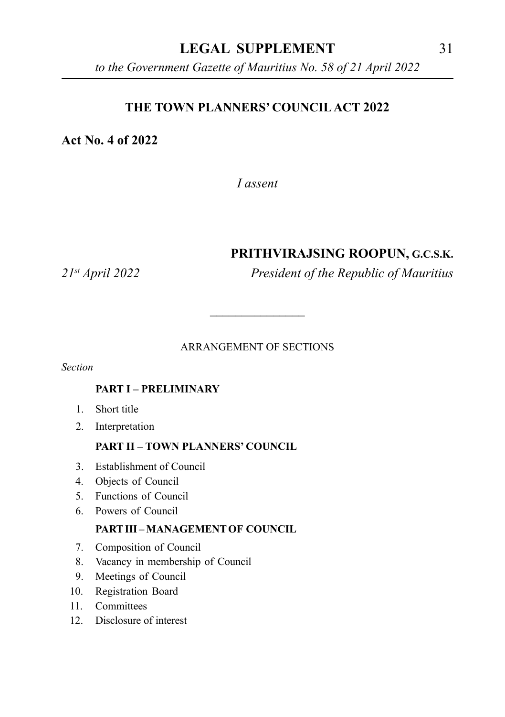## **LEGAL SUPPLEMENT** 31

*to the Government Gazette of Mauritius No. 58 of 21 April 2022*

#### **THE TOWN PLANNERS' COUNCIL ACT 2022**

#### **Act No. 4 of 2022**

*I assent*

#### **PRITHVIRAJSING ROOPUN, G.C.S.K.**

*21st April 2022 President of the Republic of Mauritius*

#### ARRANGEMENT OF SECTIONS

\_\_\_\_\_\_\_\_\_\_\_\_\_\_\_

*Section*

#### **PART I – PRELIMINARY**

- 1. Short title
- 2. Interpretation

#### **PART II – TOWN PLANNERS' COUNCIL**

- 3. Establishment of Council
- 4. Objects of Council
- 5. Functions of Council
- 6. Powers of Council

#### **PART III – MANAGEMENT OF COUNCIL**

- 7. Composition of Council
- 8. Vacancy in membership of Council
- 9. Meetings of Council
- 10. Registration Board
- 11 Committees
- 12. Disclosure of interest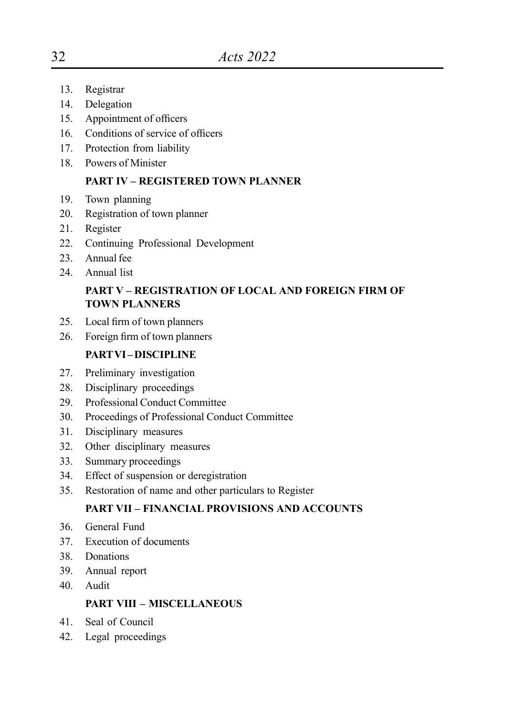- 13. Registrar
- 14. Delegation
- 15. Appointment of officers
- 16. Conditions of service of officers
- 17. Protection from liability
- 18. Powers of Minister

#### **PART IV – REGISTERED TOWN PLANNER**

- 19. Town planning
- 20. Registration of town planner
- 21. Register
- 22. Continuing Professional Development
- 23. Annual fee
- 24. Annual list

#### **PART V – REGISTRATION OF LOCAL AND FOREIGN FIRM OF TOWN PLANNERS**

- 25. Local firm of town planners
- 26. Foreign firm of town planners

#### **PART VI – DISCIPLINE**

- 27. Preliminary investigation
- 28. Disciplinary proceedings
- 29. Professional Conduct Committee
- 30. Proceedings of Professional Conduct Committee
- 31. Disciplinary measures
- 32. Other disciplinary measures
- 33. Summary proceedings
- 34. Effect of suspension or deregistration
- 35. Restoration of name and other particulars to Register

#### **PART VII – FINANCIAL PROVISIONS AND ACCOUNTS**

- 36. General Fund
- 37. Execution of documents
- 38. Donations
- 39. Annual report
- 40. Audit

#### **PART VIII – MISCELLANEOUS**

- 41. Seal of Council
- 42. Legal proceedings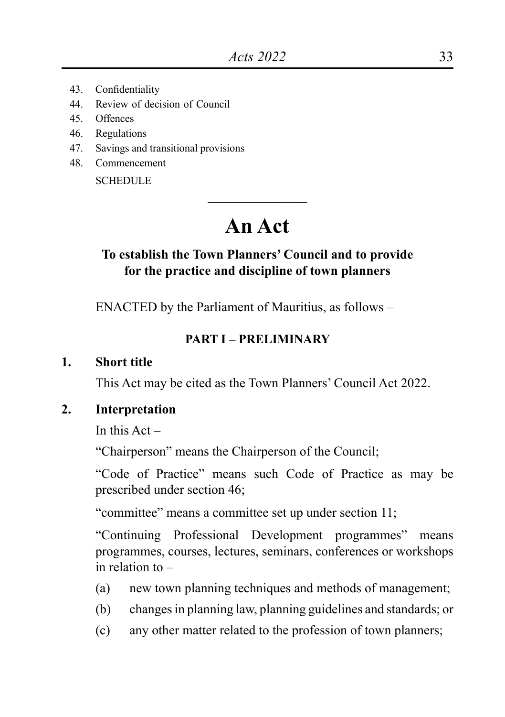- 43. Confidentiality
- 44. Review of decision of Council
- 45. Offences
- 46. Regulations
- 47. Savings and transitional provisions
- 48. Commencement

**SCHEDULE** 

# **An Act**

\_\_\_\_\_\_\_\_\_\_\_\_\_\_\_

## **To establish the Town Planners' Council and to provide for the practice and discipline of town planners**

ENACTED by the Parliament of Mauritius, as follows –

#### **PART I – PRELIMINARY**

**1. Short title**

This Act may be cited as the Town Planners' Council Act 2022.

**2. Interpretation**

In this  $Act -$ 

"Chairperson" means the Chairperson of the Council;

"Code of Practice" means such Code of Practice as may be prescribed under section 46;

"committee" means a committee set up under section 11;

"Continuing Professional Development programmes" means programmes, courses, lectures, seminars, conferences or workshops in relation to –

- (a) new town planning techniques and methods of management;
- (b) changes in planning law, planning guidelines and standards; or
- (c) any other matter related to the profession of town planners;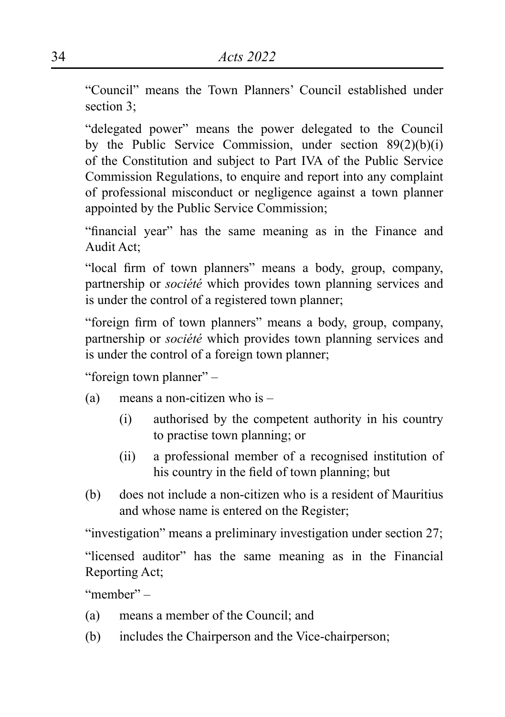"Council" means the Town Planners' Council established under section 3<sup>-</sup>

"delegated power" means the power delegated to the Council by the Public Service Commission, under section 89(2)(b)(i) of the Constitution and subject to Part IVA of the Public Service Commission Regulations, to enquire and report into any complaint of professional misconduct or negligence against a town planner appointed by the Public Service Commission;

"financial year" has the same meaning as in the Finance and Audit Act;

"local firm of town planners" means a body, group, company, partnership or *société* which provides town planning services and is under the control of a registered town planner;

"foreign firm of town planners" means a body, group, company, partnership or *société* which provides town planning services and is under the control of a foreign town planner;

"foreign town planner" –

- (a) means a non-citizen who is
	- (i) authorised by the competent authority in his country to practise town planning; or
	- (ii) a professional member of a recognised institution of his country in the field of town planning; but
- (b) does not include a non-citizen who is a resident of Mauritius and whose name is entered on the Register;

"investigation" means a preliminary investigation under section 27;

"licensed auditor" has the same meaning as in the Financial Reporting Act;

"member" –

- (a) means a member of the Council; and
- (b) includes the Chairperson and the Vice-chairperson;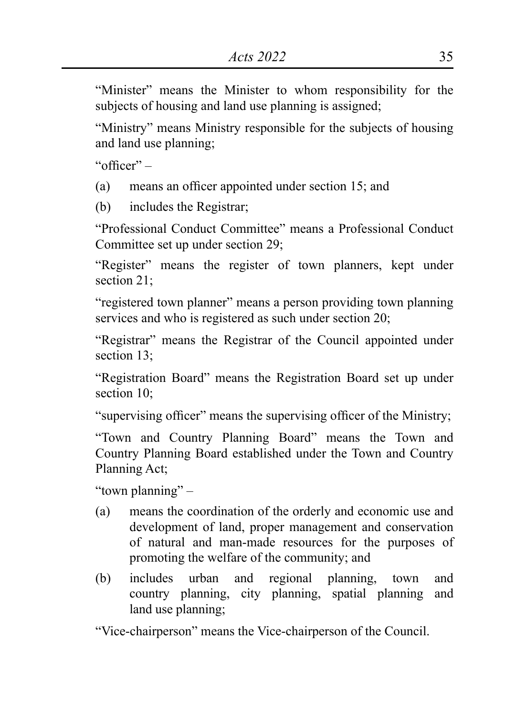"Minister" means the Minister to whom responsibility for the subjects of housing and land use planning is assigned;

"Ministry" means Ministry responsible for the subjects of housing and land use planning;

"officer" –

(a) means an officer appointed under section 15; and

(b) includes the Registrar;

"Professional Conduct Committee" means a Professional Conduct Committee set up under section 29;

"Register" means the register of town planners, kept under section 21;

"registered town planner" means a person providing town planning services and who is registered as such under section 20;

"Registrar" means the Registrar of the Council appointed under section 13;

"Registration Board" means the Registration Board set up under section 10<sup> $\cdot$ </sup>

"supervising officer" means the supervising officer of the Ministry;

"Town and Country Planning Board" means the Town and Country Planning Board established under the Town and Country Planning Act;

"town planning" –

- (a) means the coordination of the orderly and economic use and development of land, proper management and conservation of natural and man-made resources for the purposes of promoting the welfare of the community; and
- (b) includes urban and regional planning, town and country planning, city planning, spatial planning and land use planning;

"Vice-chairperson" means the Vice-chairperson of the Council.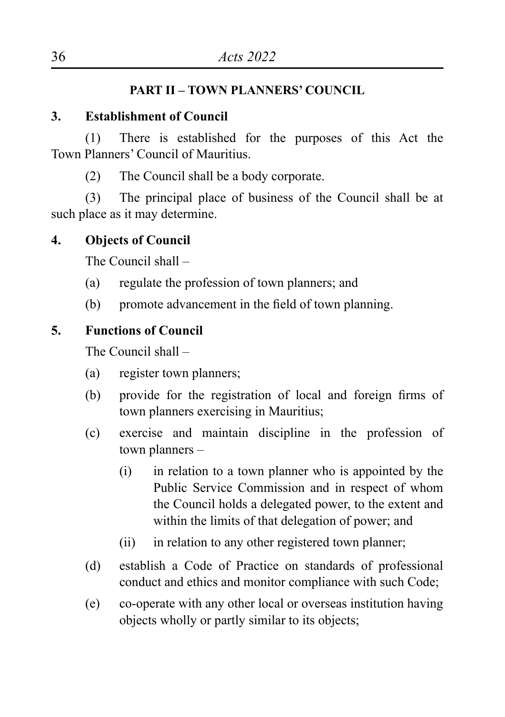# **PART II – TOWN PLANNERS' COUNCIL**

# **3. Establishment of Council**

(1) There is established for the purposes of this Act the Town Planners' Council of Mauritius.

(2) The Council shall be a body corporate.

(3) The principal place of business of the Council shall be at such place as it may determine.

# **4. Objects of Council**

The Council shall –

- (a) regulate the profession of town planners; and
- (b) promote advancement in the field of town planning.

# **5. Functions of Council**

The Council shall –

- (a) register town planners;
- (b) provide for the registration of local and foreign firms of town planners exercising in Mauritius;
- (c) exercise and maintain discipline in the profession of town planners –
	- (i) in relation to a town planner who is appointed by the Public Service Commission and in respect of whom the Council holds a delegated power, to the extent and within the limits of that delegation of power; and
	- (ii) in relation to any other registered town planner;
- (d) establish a Code of Practice on standards of professional conduct and ethics and monitor compliance with such Code;
- (e) co-operate with any other local or overseas institution having objects wholly or partly similar to its objects;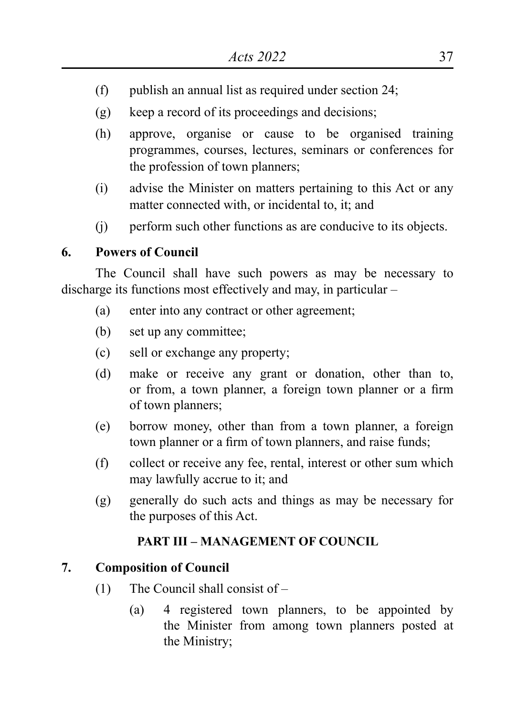- (f) publish an annual list as required under section 24;
- (g) keep a record of its proceedings and decisions;
- (h) approve, organise or cause to be organised training programmes, courses, lectures, seminars or conferences for the profession of town planners;
- (i) advise the Minister on matters pertaining to this Act or any matter connected with, or incidental to, it; and
- (j) perform such other functions as are conducive to its objects.

#### **6. Powers of Council**

The Council shall have such powers as may be necessary to discharge its functions most effectively and may, in particular –

- (a) enter into any contract or other agreement;
- (b) set up any committee;
- (c) sell or exchange any property;
- (d) make or receive any grant or donation, other than to, or from, a town planner, a foreign town planner or a firm of town planners;
- (e) borrow money, other than from a town planner, a foreign town planner or a firm of town planners, and raise funds;
- (f) collect or receive any fee, rental, interest or other sum which may lawfully accrue to it; and
- (g) generally do such acts and things as may be necessary for the purposes of this Act.

## **PART III – MANAGEMENT OF COUNCIL**

#### **7. Composition of Council**

- (1) The Council shall consist of
	- (a) 4 registered town planners, to be appointed by the Minister from among town planners posted at the Ministry;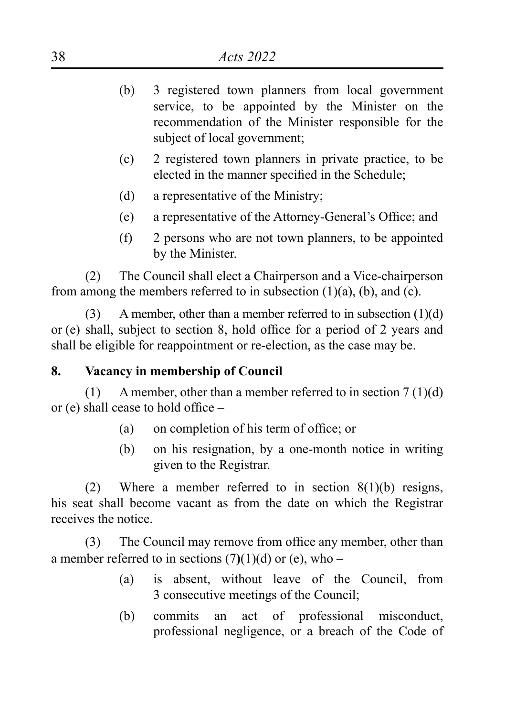- (b) 3 registered town planners from local government service, to be appointed by the Minister on the recommendation of the Minister responsible for the subject of local government;
- (c) 2 registered town planners in private practice, to be elected in the manner specified in the Schedule;
- (d) a representative of the Ministry;
- (e) a representative of the Attorney-General's Office; and
- (f) 2 persons who are not town planners, to be appointed by the Minister.

(2) The Council shall elect a Chairperson and a Vice-chairperson from among the members referred to in subsection  $(1)(a)$ ,  $(b)$ , and  $(c)$ .

(3) A member, other than a member referred to in subsection (1)(d) or (e) shall, subject to section 8, hold office for a period of 2 years and shall be eligible for reappointment or re-election, as the case may be.

#### **8. Vacancy in membership of Council**

(1) A member, other than a member referred to in section  $7(1)(d)$ or (e) shall cease to hold office –

- (a) on completion of his term of office; or
- (b) on his resignation, by a one-month notice in writing given to the Registrar.

(2) Where a member referred to in section  $8(1)(b)$  resigns, his seat shall become vacant as from the date on which the Registrar receives the notice.

(3) The Council may remove from office any member, other than a member referred to in sections  $(7)(1)(d)$  or (e), who –

- (a) is absent, without leave of the Council, from 3 consecutive meetings of the Council;
- (b) commits an act of professional misconduct, professional negligence, or a breach of the Code of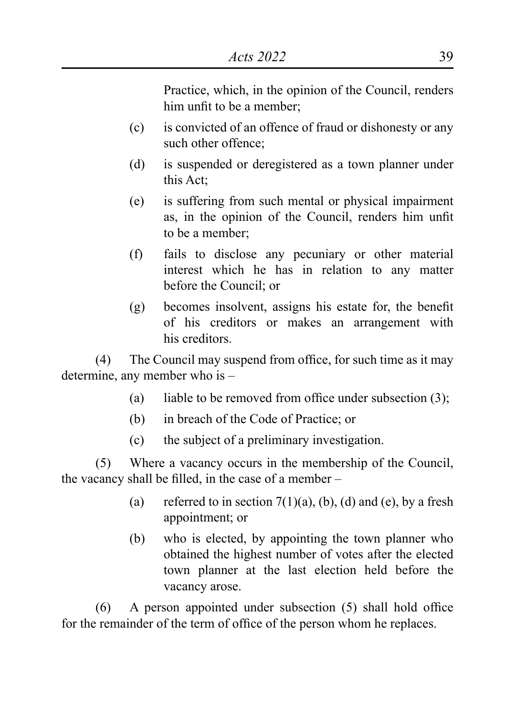Practice, which, in the opinion of the Council, renders him unfit to be a member;

- (c) is convicted of an offence of fraud or dishonesty or any such other offence;
- (d) is suspended or deregistered as a town planner under this Act;
- (e) is suffering from such mental or physical impairment as, in the opinion of the Council, renders him unfit to be a member;
- (f) fails to disclose any pecuniary or other material interest which he has in relation to any matter before the Council; or
- (g) becomes insolvent, assigns his estate for, the benefit of his creditors or makes an arrangement with his creditors.

(4) The Council may suspend from office, for such time as it may determine, any member who is –

- (a) liable to be removed from office under subsection  $(3)$ ;
- (b) in breach of the Code of Practice; or
- (c) the subject of a preliminary investigation.

(5) Where a vacancy occurs in the membership of the Council, the vacancy shall be filled, in the case of a member –

- (a) referred to in section  $7(1)(a)$ , (b), (d) and (e), by a fresh appointment; or
- (b) who is elected, by appointing the town planner who obtained the highest number of votes after the elected town planner at the last election held before the vacancy arose.

 $(6)$  A person appointed under subsection  $(5)$  shall hold office for the remainder of the term of office of the person whom he replaces.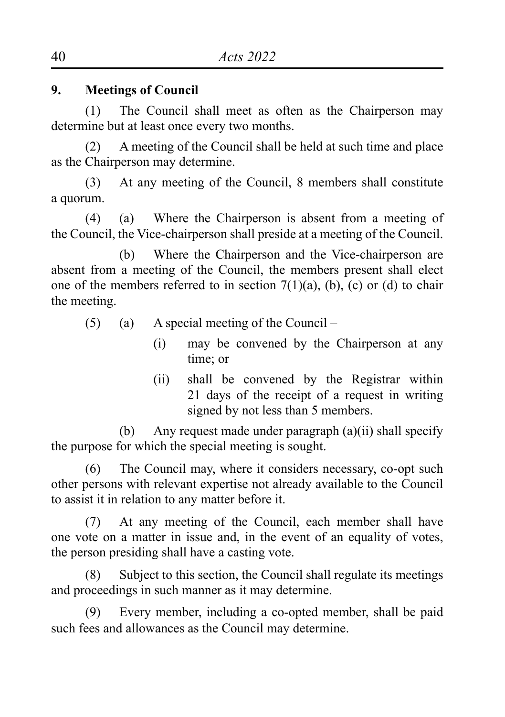# **9. Meetings of Council**

(1) The Council shall meet as often as the Chairperson may determine but at least once every two months.

(2) A meeting of the Council shall be held at such time and place as the Chairperson may determine.

(3) At any meeting of the Council, 8 members shall constitute a quorum.

(4) (a) Where the Chairperson is absent from a meeting of the Council, the Vice-chairperson shall preside at a meeting of the Council.

(b) Where the Chairperson and the Vice-chairperson are absent from a meeting of the Council, the members present shall elect one of the members referred to in section  $7(1)(a)$ , (b), (c) or (d) to chair the meeting.

- (5) (a) A special meeting of the Council
	- (i) may be convened by the Chairperson at any time; or
	- (ii) shall be convened by the Registrar within 21 days of the receipt of a request in writing signed by not less than 5 members.

(b) Any request made under paragraph (a)(ii) shall specify the purpose for which the special meeting is sought.

(6) The Council may, where it considers necessary, co-opt such other persons with relevant expertise not already available to the Council to assist it in relation to any matter before it.

(7) At any meeting of the Council, each member shall have one vote on a matter in issue and, in the event of an equality of votes, the person presiding shall have a casting vote.

(8) Subject to this section, the Council shall regulate its meetings and proceedings in such manner as it may determine.

(9) Every member, including a co-opted member, shall be paid such fees and allowances as the Council may determine.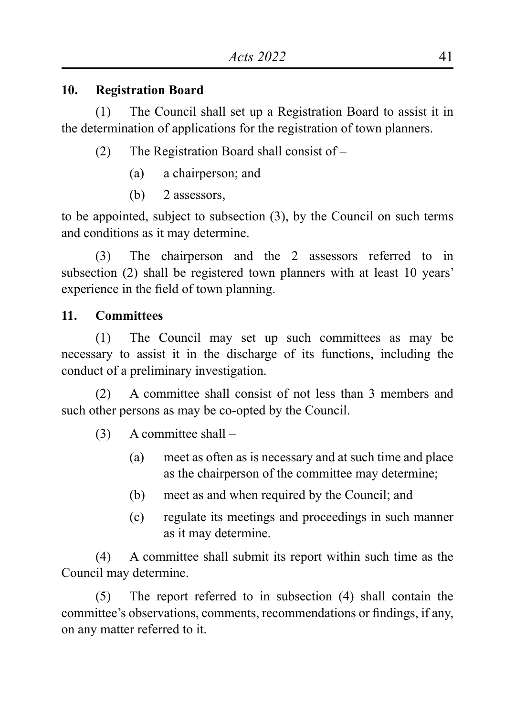## **10. Registration Board**

(1) The Council shall set up a Registration Board to assist it in the determination of applications for the registration of town planners.

- (2) The Registration Board shall consist of
	- (a) a chairperson; and
	- (b) 2 assessors

to be appointed, subject to subsection (3), by the Council on such terms and conditions as it may determine.

(3) The chairperson and the 2 assessors referred to in subsection (2) shall be registered town planners with at least 10 years' experience in the field of town planning.

# **11. Committees**

(1) The Council may set up such committees as may be necessary to assist it in the discharge of its functions, including the conduct of a preliminary investigation.

(2) A committee shall consist of not less than 3 members and such other persons as may be co-opted by the Council.

(3) A committee shall –

- (a) meet as often as is necessary and at such time and place as the chairperson of the committee may determine;
- (b) meet as and when required by the Council; and
- (c) regulate its meetings and proceedings in such manner as it may determine.

(4) A committee shall submit its report within such time as the Council may determine.

(5) The report referred to in subsection (4) shall contain the committee's observations, comments, recommendations or findings, if any, on any matter referred to it.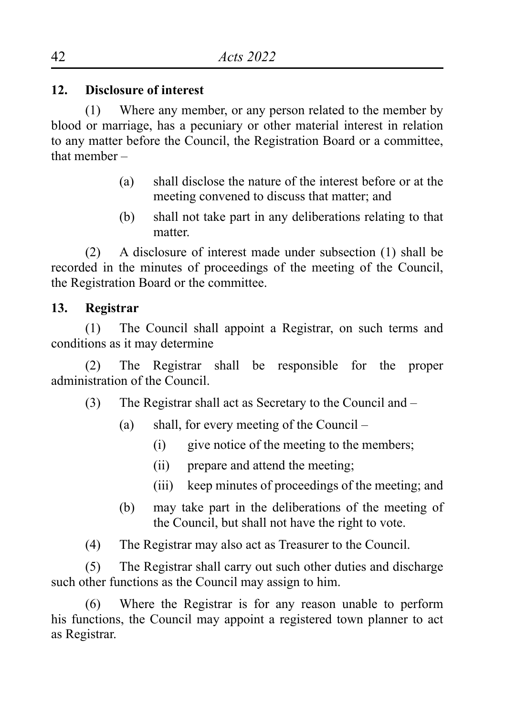## **12. Disclosure of interest**

(1) Where any member, or any person related to the member by blood or marriage, has a pecuniary or other material interest in relation to any matter before the Council, the Registration Board or a committee, that member –

- (a) shall disclose the nature of the interest before or at the meeting convened to discuss that matter; and
- (b) shall not take part in any deliberations relating to that matter.

(2) A disclosure of interest made under subsection (1) shall be recorded in the minutes of proceedings of the meeting of the Council, the Registration Board or the committee.

## **13. Registrar**

(1) The Council shall appoint a Registrar, on such terms and conditions as it may determine

(2) The Registrar shall be responsible for the proper administration of the Council.

(3) The Registrar shall act as Secretary to the Council and –

- (a) shall, for every meeting of the Council
	- (i) give notice of the meeting to the members;
	- (ii) prepare and attend the meeting;
	- (iii) keep minutes of proceedings of the meeting; and
- (b) may take part in the deliberations of the meeting of the Council, but shall not have the right to vote.
- (4) The Registrar may also act as Treasurer to the Council.

(5) The Registrar shall carry out such other duties and discharge such other functions as the Council may assign to him.

(6) Where the Registrar is for any reason unable to perform his functions, the Council may appoint a registered town planner to act as Registrar.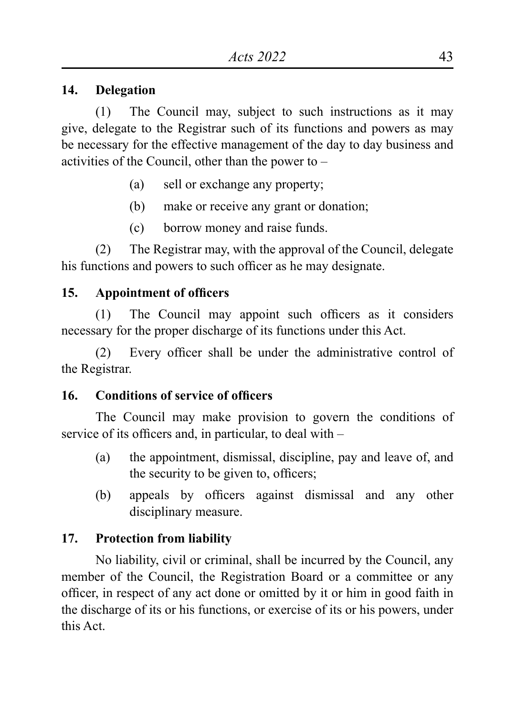#### **14. Delegation**

(1) The Council may, subject to such instructions as it may give, delegate to the Registrar such of its functions and powers as may be necessary for the effective management of the day to day business and activities of the Council, other than the power to –

- (a) sell or exchange any property;
- (b) make or receive any grant or donation;
- (c) borrow money and raise funds.

(2) The Registrar may, with the approval of the Council, delegate his functions and powers to such officer as he may designate.

# **15. Appointment of officers**

(1) The Council may appoint such officers as it considers necessary for the proper discharge of its functions under this Act.

(2) Every officer shall be under the administrative control of the Registrar.

# **16. Conditions of service of officers**

The Council may make provision to govern the conditions of service of its officers and, in particular, to deal with –

- (a) the appointment, dismissal, discipline, pay and leave of, and the security to be given to, officers;
- (b) appeals by officers against dismissal and any other disciplinary measure.

# **17. Protection from liability**

No liability, civil or criminal, shall be incurred by the Council, any member of the Council, the Registration Board or a committee or any officer, in respect of any act done or omitted by it or him in good faith in the discharge of its or his functions, or exercise of its or his powers, under this Act.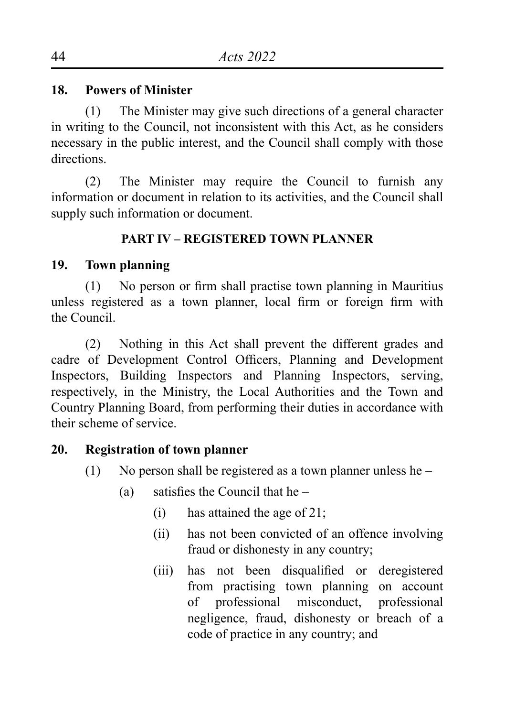## **18. Powers of Minister**

(1) The Minister may give such directions of a general character in writing to the Council, not inconsistent with this Act, as he considers necessary in the public interest, and the Council shall comply with those directions.

(2) The Minister may require the Council to furnish any information or document in relation to its activities, and the Council shall supply such information or document.

# **PART IV – REGISTERED TOWN PLANNER**

# **19. Town planning**

(1) No person or firm shall practise town planning in Mauritius unless registered as a town planner, local firm or foreign firm with the Council.

(2) Nothing in this Act shall prevent the different grades and cadre of Development Control Officers, Planning and Development Inspectors, Building Inspectors and Planning Inspectors, serving, respectively, in the Ministry, the Local Authorities and the Town and Country Planning Board, from performing their duties in accordance with their scheme of service.

# **20. Registration of town planner**

- (1) No person shall be registered as a town planner unless he
	- (a) satisfies the Council that he  $-$ 
		- (i) has attained the age of 21;
		- (ii) has not been convicted of an offence involving fraud or dishonesty in any country;
		- (iii) has not been disqualified or deregistered from practising town planning on account of professional misconduct, professional negligence, fraud, dishonesty or breach of a code of practice in any country; and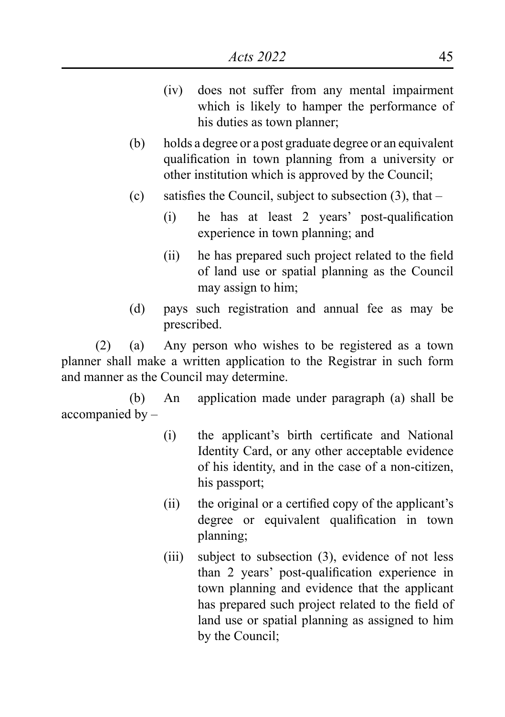- (iv) does not suffer from any mental impairment which is likely to hamper the performance of his duties as town planner;
- (b) holds a degree or a post graduate degree or an equivalent qualification in town planning from a university or other institution which is approved by the Council;
- (c) satisfies the Council, subject to subsection  $(3)$ , that
	- (i) he has at least 2 years' post-qualification experience in town planning; and
	- (ii) he has prepared such project related to the field of land use or spatial planning as the Council may assign to him;
- (d) pays such registration and annual fee as may be prescribed.

(2) (a) Any person who wishes to be registered as a town planner shall make a written application to the Registrar in such form and manner as the Council may determine.

(b) An application made under paragraph (a) shall be accompanied by –

- (i) the applicant's birth certificate and National Identity Card, or any other acceptable evidence of his identity, and in the case of a non-citizen, his passport;
- (ii) the original or a certified copy of the applicant's degree or equivalent qualification in town planning;
- (iii) subject to subsection (3), evidence of not less than 2 years' post-qualification experience in town planning and evidence that the applicant has prepared such project related to the field of land use or spatial planning as assigned to him by the Council;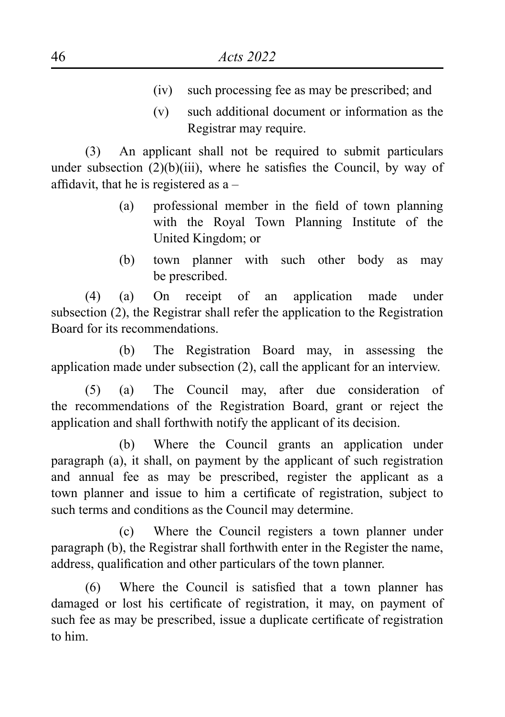- (iv) such processing fee as may be prescribed; and
- (v) such additional document or information as the Registrar may require.

(3) An applicant shall not be required to submit particulars under subsection (2)(b)(iii), where he satisfies the Council, by way of affidavit, that he is registered as a –

- (a) professional member in the field of town planning with the Royal Town Planning Institute of the United Kingdom; or
- (b) town planner with such other body as may be prescribed.

(4) (a) On receipt of an application made under subsection (2), the Registrar shall refer the application to the Registration Board for its recommendations.

(b) The Registration Board may, in assessing the application made under subsection (2), call the applicant for an interview.

(5) (a) The Council may, after due consideration of the recommendations of the Registration Board, grant or reject the application and shall forthwith notify the applicant of its decision.

(b) Where the Council grants an application under paragraph (a), it shall, on payment by the applicant of such registration and annual fee as may be prescribed, register the applicant as a town planner and issue to him a certificate of registration, subject to such terms and conditions as the Council may determine.

(c) Where the Council registers a town planner under paragraph (b), the Registrar shall forthwith enter in the Register the name, address, qualification and other particulars of the town planner.

(6) Where the Council is satisfied that a town planner has damaged or lost his certificate of registration, it may, on payment of such fee as may be prescribed, issue a duplicate certificate of registration to him.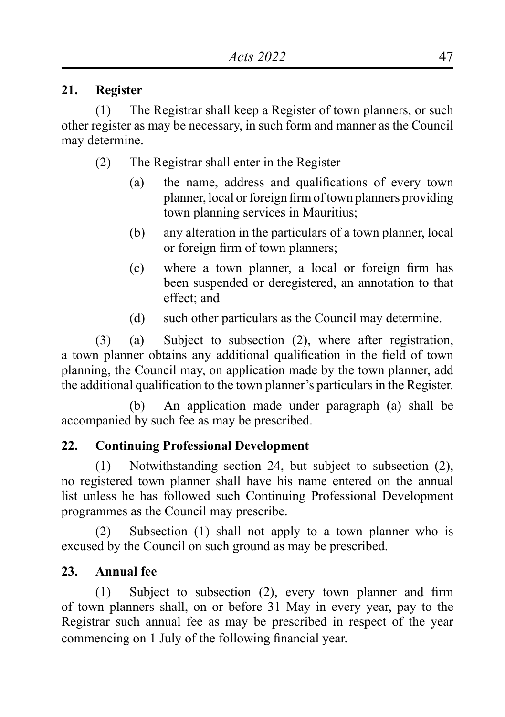## **21. Register**

(1) The Registrar shall keep a Register of town planners, or such other register as may be necessary, in such form and manner as the Council may determine.

- (2) The Registrar shall enter in the Register
	- (a) the name, address and qualifications of every town planner, local or foreign firm of town planners providing town planning services in Mauritius;
	- (b) any alteration in the particulars of a town planner, local or foreign firm of town planners;
	- (c) where a town planner, a local or foreign firm has been suspended or deregistered, an annotation to that effect; and
	- (d) such other particulars as the Council may determine.

(3) (a) Subject to subsection (2), where after registration, a town planner obtains any additional qualification in the field of town planning, the Council may, on application made by the town planner, add the additional qualification to the town planner's particulars in the Register.

(b) An application made under paragraph (a) shall be accompanied by such fee as may be prescribed.

# **22. Continuing Professional Development**

(1) Notwithstanding section 24, but subject to subsection (2), no registered town planner shall have his name entered on the annual list unless he has followed such Continuing Professional Development programmes as the Council may prescribe.

(2) Subsection (1) shall not apply to a town planner who is excused by the Council on such ground as may be prescribed.

# **23. Annual fee**

(1) Subject to subsection (2), every town planner and firm of town planners shall, on or before 31 May in every year, pay to the Registrar such annual fee as may be prescribed in respect of the year commencing on 1 July of the following financial year.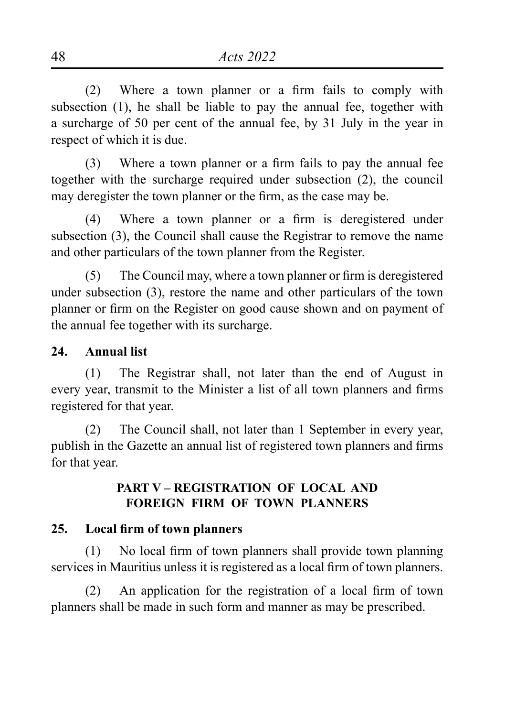(2) Where a town planner or a firm fails to comply with subsection (1), he shall be liable to pay the annual fee, together with a surcharge of 50 per cent of the annual fee, by 31 July in the year in respect of which it is due.

(3) Where a town planner or a firm fails to pay the annual fee together with the surcharge required under subsection (2), the council may deregister the town planner or the firm, as the case may be.

(4) Where a town planner or a firm is deregistered under subsection (3), the Council shall cause the Registrar to remove the name and other particulars of the town planner from the Register.

(5) The Council may, where a town planner or firm is deregistered under subsection (3), restore the name and other particulars of the town planner or firm on the Register on good cause shown and on payment of the annual fee together with its surcharge.

## **24. Annual list**

(1) The Registrar shall, not later than the end of August in every year, transmit to the Minister a list of all town planners and firms registered for that year.

(2) The Council shall, not later than 1 September in every year, publish in the Gazette an annual list of registered town planners and firms for that year.

# **PART V – REGISTRATION OF LOCAL AND FOREIGN FIRM OF TOWN PLANNERS**

#### **25. Local firm of town planners**

(1) No local firm of town planners shall provide town planning services in Mauritius unless it is registered as a local firm of town planners.

(2) An application for the registration of a local firm of town planners shall be made in such form and manner as may be prescribed.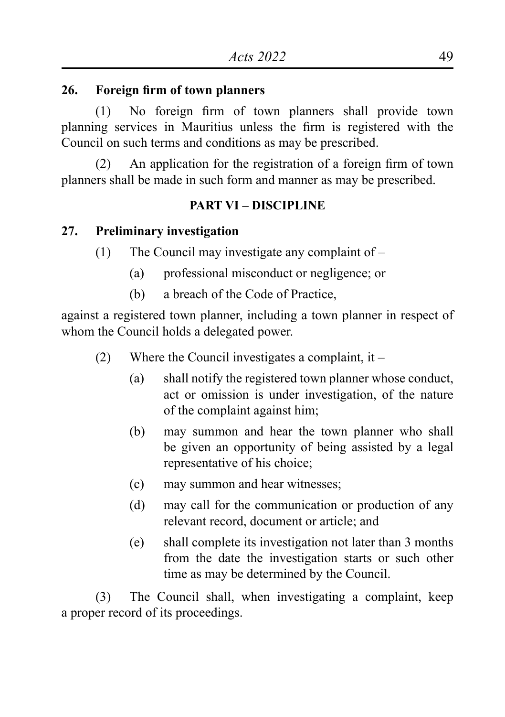### **26. Foreign firm of town planners**

(1) No foreign firm of town planners shall provide town planning services in Mauritius unless the firm is registered with the Council on such terms and conditions as may be prescribed.

(2) An application for the registration of a foreign firm of town planners shall be made in such form and manner as may be prescribed.

## **PART VI – DISCIPLINE**

# **27. Preliminary investigation**

- (1) The Council may investigate any complaint of
	- (a) professional misconduct or negligence; or
	- (b) a breach of the Code of Practice,

against a registered town planner, including a town planner in respect of whom the Council holds a delegated power.

- (2) Where the Council investigates a complaint, it
	- (a) shall notify the registered town planner whose conduct, act or omission is under investigation, of the nature of the complaint against him;
	- (b) may summon and hear the town planner who shall be given an opportunity of being assisted by a legal representative of his choice;
	- (c) may summon and hear witnesses;
	- (d) may call for the communication or production of any relevant record, document or article; and
	- (e) shall complete its investigation not later than 3 months from the date the investigation starts or such other time as may be determined by the Council.

(3) The Council shall, when investigating a complaint, keep a proper record of its proceedings.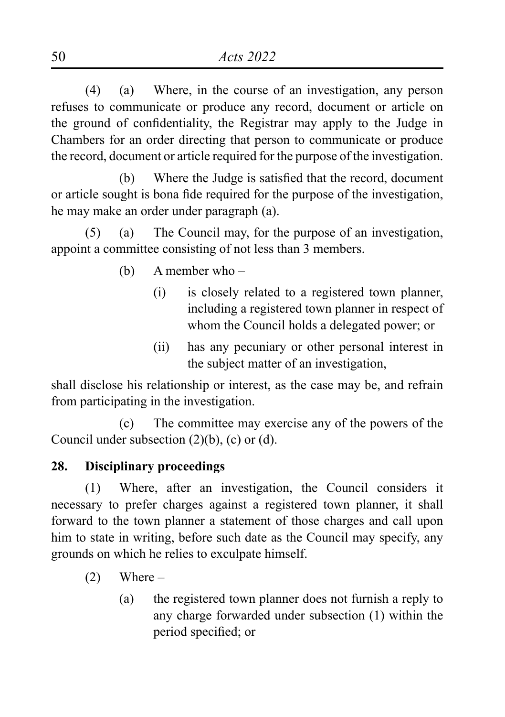(4) (a) Where, in the course of an investigation, any person refuses to communicate or produce any record, document or article on the ground of confidentiality, the Registrar may apply to the Judge in Chambers for an order directing that person to communicate or produce the record, document or article required for the purpose of the investigation.

 (b) Where the Judge is satisfied that the record, document or article sought is bona fide required for the purpose of the investigation, he may make an order under paragraph (a).

(5) (a) The Council may, for the purpose of an investigation, appoint a committee consisting of not less than 3 members.

- (b) A member who
	- (i) is closely related to a registered town planner, including a registered town planner in respect of whom the Council holds a delegated power; or
	- (ii) has any pecuniary or other personal interest in the subject matter of an investigation,

shall disclose his relationship or interest, as the case may be, and refrain from participating in the investigation.

(c) The committee may exercise any of the powers of the Council under subsection (2)(b), (c) or (d).

# **28. Disciplinary proceedings**

(1) Where, after an investigation, the Council considers it necessary to prefer charges against a registered town planner, it shall forward to the town planner a statement of those charges and call upon him to state in writing, before such date as the Council may specify, any grounds on which he relies to exculpate himself.

- $(2)$  Where
	- (a) the registered town planner does not furnish a reply to any charge forwarded under subsection (1) within the period specified; or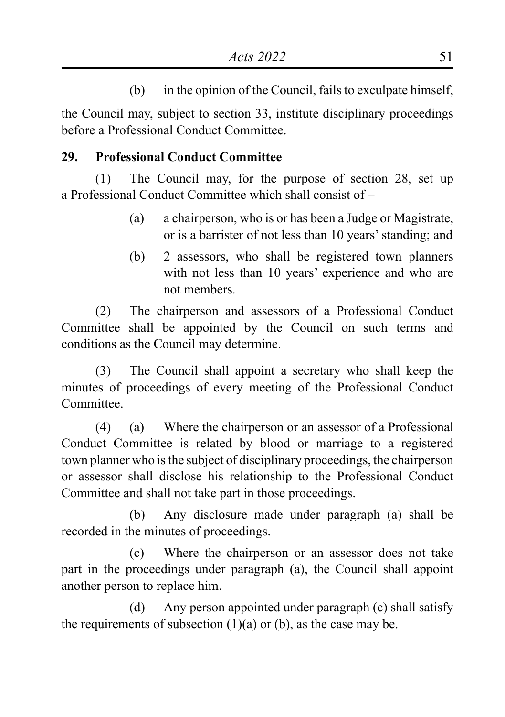(b) in the opinion of the Council, fails to exculpate himself,

the Council may, subject to section 33, institute disciplinary proceedings before a Professional Conduct Committee.

# **29. Professional Conduct Committee**

(1) The Council may, for the purpose of section 28, set up a Professional Conduct Committee which shall consist of –

- (a) a chairperson, who is or has been a Judge or Magistrate, or is a barrister of not less than 10 years' standing; and
- (b) 2 assessors, who shall be registered town planners with not less than 10 years' experience and who are not members.

(2) The chairperson and assessors of a Professional Conduct Committee shall be appointed by the Council on such terms and conditions as the Council may determine.

(3) The Council shall appoint a secretary who shall keep the minutes of proceedings of every meeting of the Professional Conduct **Committee** 

(4) (a) Where the chairperson or an assessor of a Professional Conduct Committee is related by blood or marriage to a registered town planner who is the subject of disciplinary proceedings, the chairperson or assessor shall disclose his relationship to the Professional Conduct Committee and shall not take part in those proceedings.

(b) Any disclosure made under paragraph (a) shall be recorded in the minutes of proceedings.

(c) Where the chairperson or an assessor does not take part in the proceedings under paragraph (a), the Council shall appoint another person to replace him.

(d) Any person appointed under paragraph (c) shall satisfy the requirements of subsection  $(1)(a)$  or  $(b)$ , as the case may be.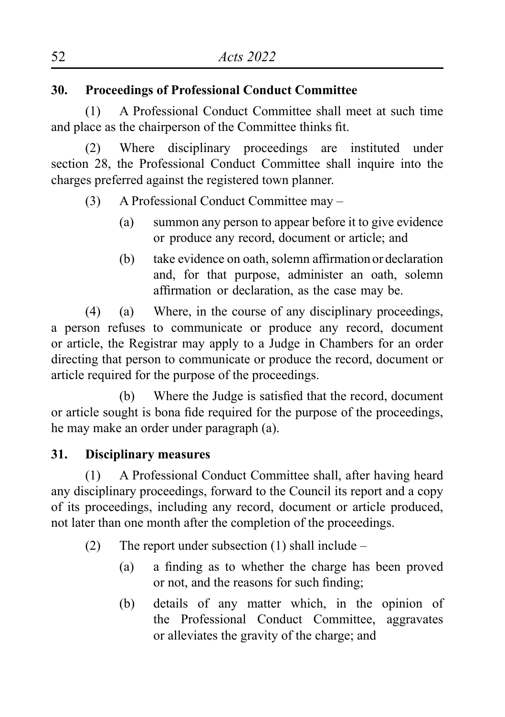# **30. Proceedings of Professional Conduct Committee**

(1) A Professional Conduct Committee shall meet at such time and place as the chairperson of the Committee thinks fit.

(2) Where disciplinary proceedings are instituted under section 28, the Professional Conduct Committee shall inquire into the charges preferred against the registered town planner.

- (3) A Professional Conduct Committee may
	- (a) summon any person to appear before it to give evidence or produce any record, document or article; and
	- (b) take evidence on oath, solemn affirmation or declaration and, for that purpose, administer an oath, solemn affirmation or declaration, as the case may be.

(4) (a) Where, in the course of any disciplinary proceedings, a person refuses to communicate or produce any record, document or article, the Registrar may apply to a Judge in Chambers for an order directing that person to communicate or produce the record, document or article required for the purpose of the proceedings.

(b) Where the Judge is satisfied that the record, document or article sought is bona fide required for the purpose of the proceedings, he may make an order under paragraph (a).

# **31. Disciplinary measures**

(1) A Professional Conduct Committee shall, after having heard any disciplinary proceedings, forward to the Council its report and a copy of its proceedings, including any record, document or article produced, not later than one month after the completion of the proceedings.

- (2) The report under subsection  $(1)$  shall include
	- (a) a finding as to whether the charge has been proved or not, and the reasons for such finding;
	- (b) details of any matter which, in the opinion of the Professional Conduct Committee, aggravates or alleviates the gravity of the charge; and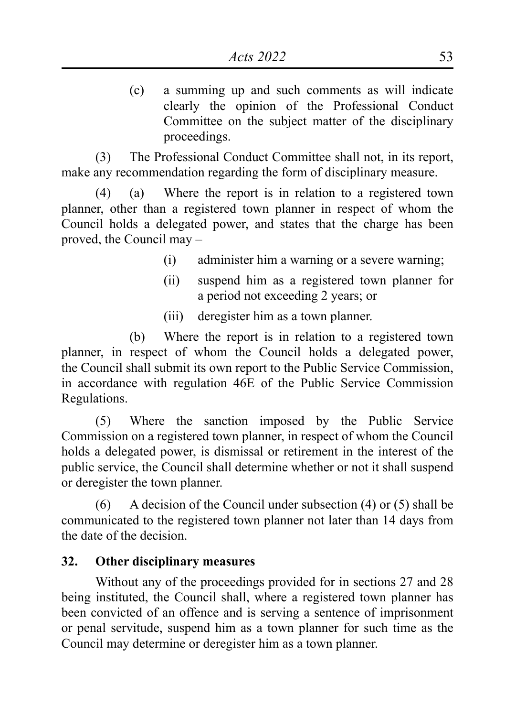(c) a summing up and such comments as will indicate clearly the opinion of the Professional Conduct Committee on the subject matter of the disciplinary proceedings.

(3) The Professional Conduct Committee shall not, in its report, make any recommendation regarding the form of disciplinary measure.

(4) (a) Where the report is in relation to a registered town planner, other than a registered town planner in respect of whom the Council holds a delegated power, and states that the charge has been proved, the Council may –

- (i) administer him a warning or a severe warning;
- (ii) suspend him as a registered town planner for a period not exceeding 2 years; or
- (iii) deregister him as a town planner.

(b) Where the report is in relation to a registered town planner, in respect of whom the Council holds a delegated power, the Council shall submit its own report to the Public Service Commission, in accordance with regulation 46E of the Public Service Commission Regulations.

(5) Where the sanction imposed by the Public Service Commission on a registered town planner, in respect of whom the Council holds a delegated power, is dismissal or retirement in the interest of the public service, the Council shall determine whether or not it shall suspend or deregister the town planner.

(6) A decision of the Council under subsection (4) or (5) shall be communicated to the registered town planner not later than 14 days from the date of the decision.

#### **32. Other disciplinary measures**

Without any of the proceedings provided for in sections 27 and 28 being instituted, the Council shall, where a registered town planner has been convicted of an offence and is serving a sentence of imprisonment or penal servitude, suspend him as a town planner for such time as the Council may determine or deregister him as a town planner.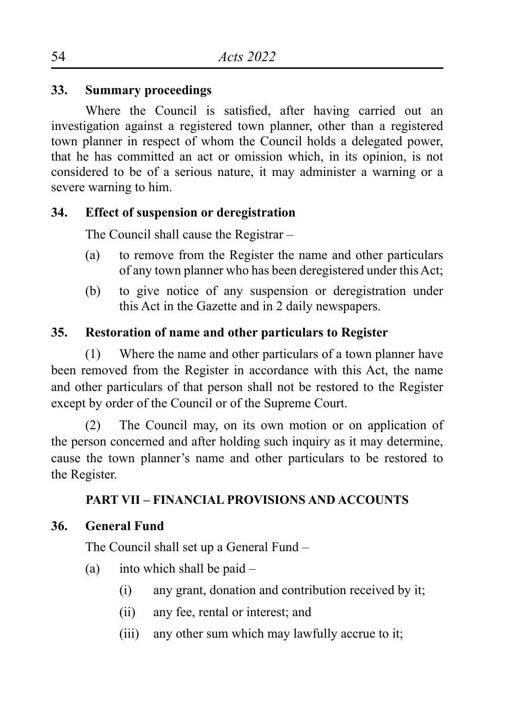# **33. Summary proceedings**

Where the Council is satisfied, after having carried out an investigation against a registered town planner, other than a registered town planner in respect of whom the Council holds a delegated power, that he has committed an act or omission which, in its opinion, is not considered to be of a serious nature, it may administer a warning or a severe warning to him.

# **34. Effect of suspension or deregistration**

The Council shall cause the Registrar –

- (a) to remove from the Register the name and other particulars of any town planner who has been deregistered under this Act;
- (b) to give notice of any suspension or deregistration under this Act in the Gazette and in 2 daily newspapers.

# **35. Restoration of name and other particulars to Register**

(1) Where the name and other particulars of a town planner have been removed from the Register in accordance with this Act, the name and other particulars of that person shall not be restored to the Register except by order of the Council or of the Supreme Court.

(2) The Council may, on its own motion or on application of the person concerned and after holding such inquiry as it may determine, cause the town planner's name and other particulars to be restored to the Register.

# **PART VII – FINANCIAL PROVISIONS AND ACCOUNTS**

# **36. General Fund**

The Council shall set up a General Fund –

- (a) into which shall be paid  $-$ 
	- (i) any grant, donation and contribution received by it;
	- (ii) any fee, rental or interest; and
	- (iii) any other sum which may lawfully accrue to it;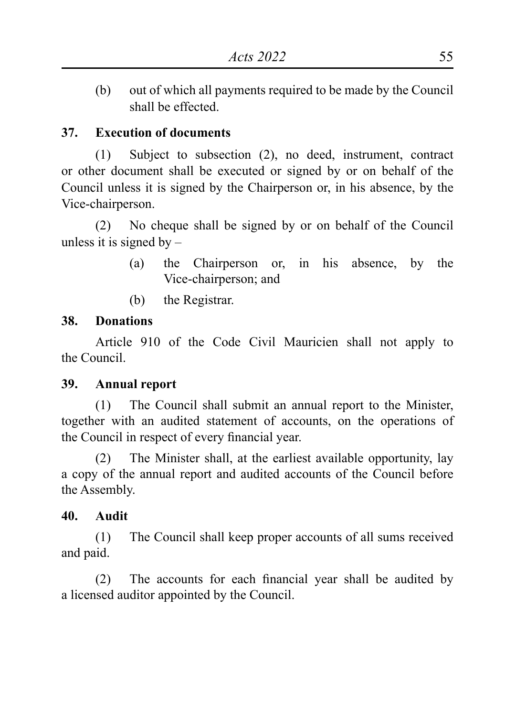(b) out of which all payments required to be made by the Council shall be effected.

# **37. Execution of documents**

(1) Subject to subsection (2), no deed, instrument, contract or other document shall be executed or signed by or on behalf of the Council unless it is signed by the Chairperson or, in his absence, by the Vice-chairperson.

(2) No cheque shall be signed by or on behalf of the Council unless it is signed by  $-$ 

- (a) the Chairperson or, in his absence, by the Vice-chairperson; and
- (b) the Registrar.

# **38. Donations**

Article 910 of the Code Civil Mauricien shall not apply to the Council.

# **39. Annual report**

(1) The Council shall submit an annual report to the Minister, together with an audited statement of accounts, on the operations of the Council in respect of every financial year.

(2) The Minister shall, at the earliest available opportunity, lay a copy of the annual report and audited accounts of the Council before the Assembly.

# **40. Audit**

(1) The Council shall keep proper accounts of all sums received and paid.

(2) The accounts for each financial year shall be audited by a licensed auditor appointed by the Council.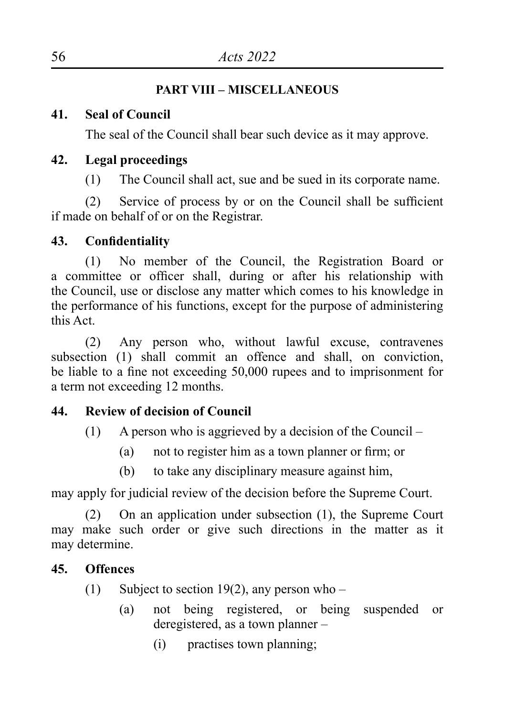# **PART VIII – MISCELLANEOUS**

# **41. Seal of Council**

The seal of the Council shall bear such device as it may approve.

# **42. Legal proceedings**

(1) The Council shall act, sue and be sued in its corporate name.

(2) Service of process by or on the Council shall be sufficient if made on behalf of or on the Registrar.

# **43. Confidentiality**

(1) No member of the Council, the Registration Board or a committee or officer shall, during or after his relationship with the Council, use or disclose any matter which comes to his knowledge in the performance of his functions, except for the purpose of administering this Act.

(2) Any person who, without lawful excuse, contravenes subsection (1) shall commit an offence and shall, on conviction, be liable to a fine not exceeding 50,000 rupees and to imprisonment for a term not exceeding 12 months.

# **44. Review of decision of Council**

- (1) A person who is aggrieved by a decision of the Council
	- (a) not to register him as a town planner or firm; or
	- (b) to take any disciplinary measure against him,

may apply for judicial review of the decision before the Supreme Court.

(2) On an application under subsection (1), the Supreme Court may make such order or give such directions in the matter as it may determine.

# **45. Offences**

- (1) Subject to section 19(2), any person who
	- (a) not being registered, or being suspended or deregistered, as a town planner –
		- (i) practises town planning;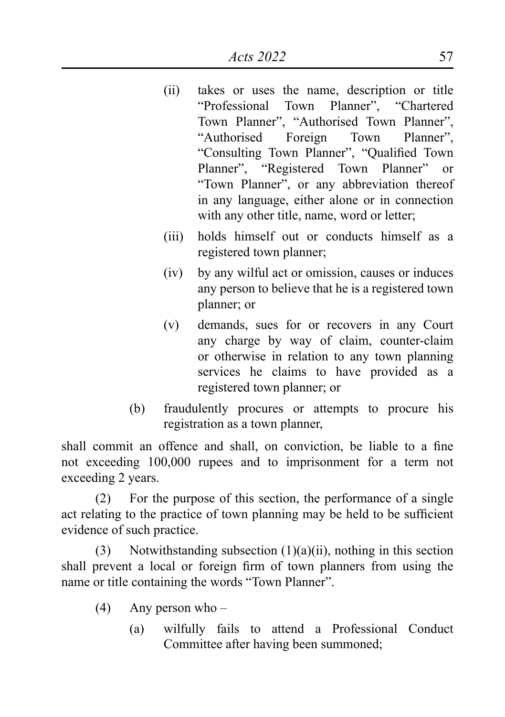- (ii) takes or uses the name, description or title "Professional Town Planner", "Chartered Town Planner", "Authorised Town Planner", "Authorised Foreign Town Planner", "Consulting Town Planner", "Qualified Town Planner", "Registered Town Planner" or "Town Planner", or any abbreviation thereof in any language, either alone or in connection with any other title, name, word or letter;
- (iii) holds himself out or conducts himself as a registered town planner;
- (iv) by any wilful act or omission, causes or induces any person to believe that he is a registered town planner; or
- (v) demands, sues for or recovers in any Court any charge by way of claim, counter-claim or otherwise in relation to any town planning services he claims to have provided as a registered town planner; or
- (b) fraudulently procures or attempts to procure his registration as a town planner,

shall commit an offence and shall, on conviction, be liable to a fine not exceeding 100,000 rupees and to imprisonment for a term not exceeding 2 years.

(2) For the purpose of this section, the performance of a single act relating to the practice of town planning may be held to be sufficient evidence of such practice.

(3) Notwithstanding subsection  $(1)(a)(ii)$ , nothing in this section shall prevent a local or foreign firm of town planners from using the name or title containing the words "Town Planner".

- (4) Any person who
	- (a) wilfully fails to attend a Professional Conduct Committee after having been summoned;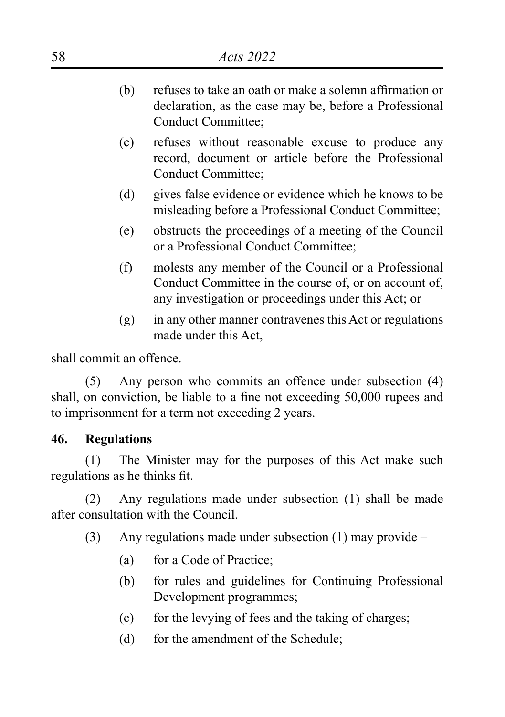- (b) refuses to take an oath or make a solemn affirmation or declaration, as the case may be, before a Professional Conduct Committee;
- (c) refuses without reasonable excuse to produce any record, document or article before the Professional Conduct Committee;
- (d) gives false evidence or evidence which he knows to be misleading before a Professional Conduct Committee;
- (e) obstructs the proceedings of a meeting of the Council or a Professional Conduct Committee;
- (f) molests any member of the Council or a Professional Conduct Committee in the course of, or on account of, any investigation or proceedings under this Act; or
- (g) in any other manner contravenes this Act or regulations made under this Act

shall commit an offence.

(5) Any person who commits an offence under subsection (4) shall, on conviction, be liable to a fine not exceeding 50,000 rupees and to imprisonment for a term not exceeding 2 years.

#### **46. Regulations**

(1) The Minister may for the purposes of this Act make such regulations as he thinks fit.

(2) Any regulations made under subsection (1) shall be made after consultation with the Council.

- (3) Any regulations made under subsection (1) may provide
	- (a) for a Code of Practice;
	- (b) for rules and guidelines for Continuing Professional Development programmes;
	- (c) for the levying of fees and the taking of charges;
	- (d) for the amendment of the Schedule;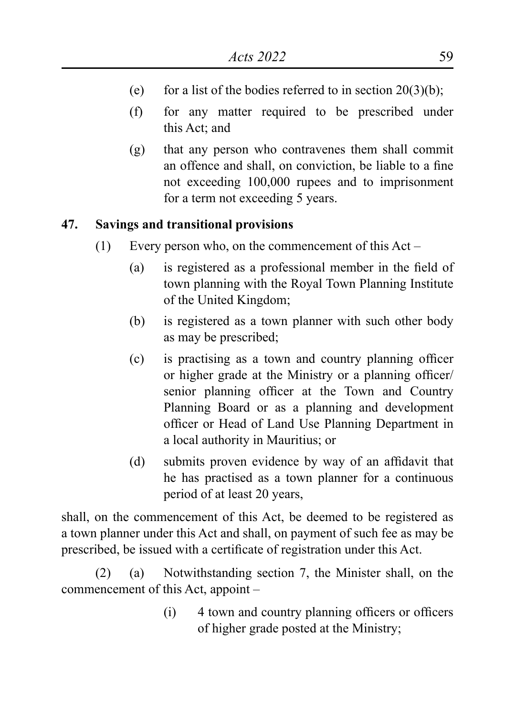- (e) for a list of the bodies referred to in section  $20(3)(b)$ ;
- (f) for any matter required to be prescribed under this Act; and
- (g) that any person who contravenes them shall commit an offence and shall, on conviction, be liable to a fine not exceeding 100,000 rupees and to imprisonment for a term not exceeding 5 years.

# **47. Savings and transitional provisions**

- (1) Every person who, on the commencement of this Act
	- (a) is registered as a professional member in the field of town planning with the Royal Town Planning Institute of the United Kingdom;
	- (b) is registered as a town planner with such other body as may be prescribed;
	- (c) is practising as a town and country planning officer or higher grade at the Ministry or a planning officer/ senior planning officer at the Town and Country Planning Board or as a planning and development officer or Head of Land Use Planning Department in a local authority in Mauritius; or
	- (d) submits proven evidence by way of an affidavit that he has practised as a town planner for a continuous period of at least 20 years,

shall, on the commencement of this Act, be deemed to be registered as a town planner under this Act and shall, on payment of such fee as may be prescribed, be issued with a certificate of registration under this Act.

(2) (a) Notwithstanding section 7, the Minister shall, on the commencement of this Act, appoint –

> (i) 4 town and country planning officers or officers of higher grade posted at the Ministry;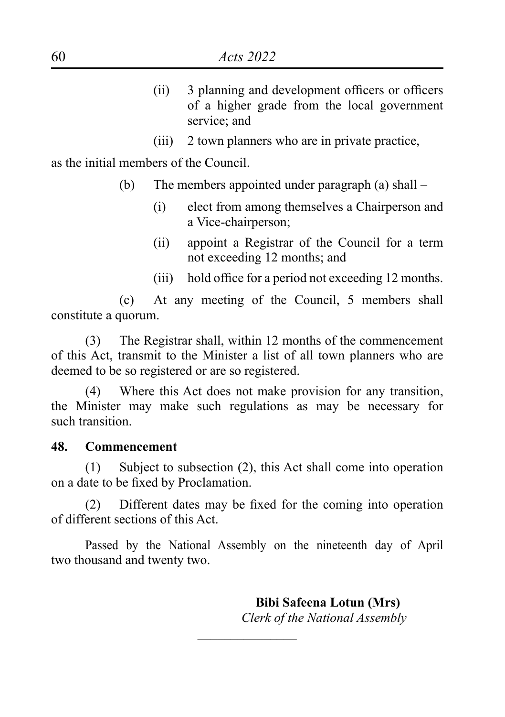- (ii) 3 planning and development officers or officers of a higher grade from the local government service: and
- (iii) 2 town planners who are in private practice,

as the initial members of the Council.

- (b) The members appointed under paragraph (a) shall
	- (i) elect from among themselves a Chairperson and a Vice-chairperson;
	- (ii) appoint a Registrar of the Council for a term not exceeding 12 months; and
	- (iii) hold office for a period not exceeding 12 months.

(c) At any meeting of the Council, 5 members shall constitute a quorum.

(3) The Registrar shall, within 12 months of the commencement of this Act, transmit to the Minister a list of all town planners who are deemed to be so registered or are so registered.

(4) Where this Act does not make provision for any transition, the Minister may make such regulations as may be necessary for such transition.

#### **48. Commencement**

(1) Subject to subsection (2), this Act shall come into operation on a date to be fixed by Proclamation.

(2) Different dates may be fixed for the coming into operation of different sections of this Act.

Passed by the National Assembly on the nineteenth day of April two thousand and twenty two.

 $\overline{\phantom{a}}$  , where  $\overline{\phantom{a}}$ 

 **Bibi Safeena Lotun (Mrs)** *Clerk of the National Assembly*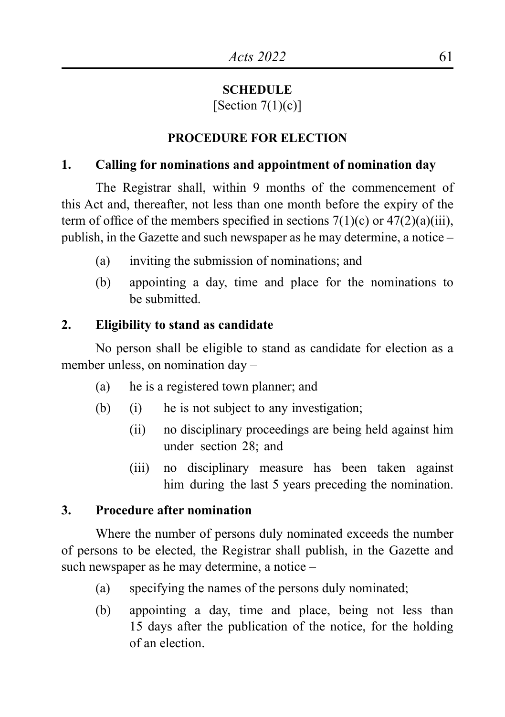#### **SCHEDULE**

[Section  $7(1)(c)$ ]

# **PROCEDURE FOR ELECTION**

## **1. Calling for nominations and appointment of nomination day**

The Registrar shall, within 9 months of the commencement of this Act and, thereafter, not less than one month before the expiry of the term of office of the members specified in sections  $7(1)(c)$  or  $47(2)(a)(iii)$ , publish, in the Gazette and such newspaper as he may determine, a notice –

- (a) inviting the submission of nominations; and
- (b) appointing a day, time and place for the nominations to be submitted.

# **2. Eligibility to stand as candidate**

No person shall be eligible to stand as candidate for election as a member unless, on nomination day –

- (a) he is a registered town planner; and
- (b) (i) he is not subject to any investigation;
	- (ii) no disciplinary proceedings are being held against him under section 28; and
	- (iii) no disciplinary measure has been taken against him during the last 5 years preceding the nomination.

# **3. Procedure after nomination**

Where the number of persons duly nominated exceeds the number of persons to be elected, the Registrar shall publish, in the Gazette and such newspaper as he may determine, a notice –

- (a) specifying the names of the persons duly nominated;
- (b) appointing a day, time and place, being not less than 15 days after the publication of the notice, for the holding of an election.